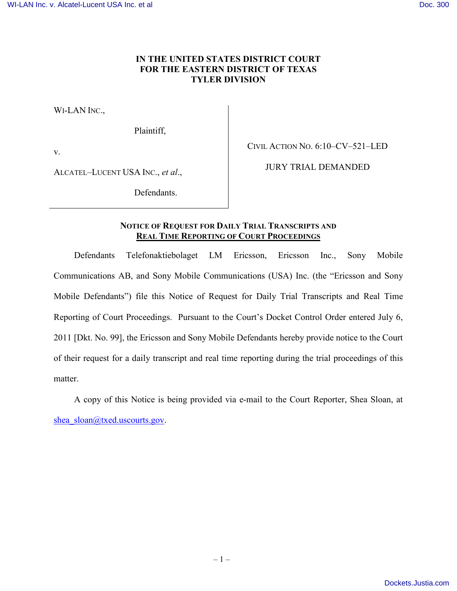## **IN THE UNITED STATES DISTRICT COURT FOR THE EASTERN DISTRICT OF TEXAS TYLER DIVISION**

WI-LAN INC.,

Plaintiff,

v.

CIVIL ACTION NO. 6:10–CV–521–LED

ALCATEL–LUCENT USA INC., *et al*.,

JURY TRIAL DEMANDED

Defendants.

## **NOTICE OF REQUEST FOR DAILY TRIAL TRANSCRIPTS AND REAL TIME REPORTING OF COURT PROCEEDINGS**

Defendants Telefonaktiebolaget LM Ericsson, Ericsson Inc., Sony Mobile Communications AB, and Sony Mobile Communications (USA) Inc. (the "Ericsson and Sony Mobile Defendants") file this Notice of Request for Daily Trial Transcripts and Real Time Reporting of Court Proceedings. Pursuant to the Court's Docket Control Order entered July 6, 2011 [Dkt. No. 99], the Ericsson and Sony Mobile Defendants hereby provide notice to the Court of their request for a daily transcript and real time reporting during the trial proceedings of this matter.

A copy of this Notice is being provided via e-mail to the Court Reporter, Shea Sloan, at [shea\\_sloan@txed.uscourts.gov.](mailto:shea_sloan@txed.uscourts.gov)